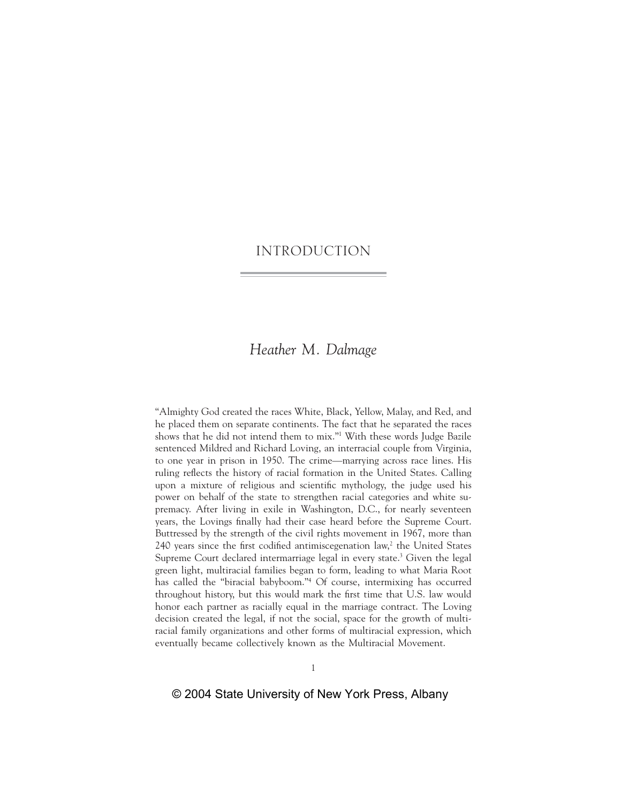# INTRODUCTION

# *Heather M. Dalmage*

"Almighty God created the races White, Black, Yellow, Malay, and Red, and he placed them on separate continents. The fact that he separated the races shows that he did not intend them to mix."1 With these words Judge Bazile sentenced Mildred and Richard Loving, an interracial couple from Virginia, to one year in prison in 1950. The crime—marrying across race lines. His ruling reflects the history of racial formation in the United States. Calling upon a mixture of religious and scientific mythology, the judge used his power on behalf of the state to strengthen racial categories and white supremacy. After living in exile in Washington, D.C., for nearly seventeen years, the Lovings finally had their case heard before the Supreme Court. Buttressed by the strength of the civil rights movement in 1967, more than 240 years since the first codified antimiscegenation law,<sup>2</sup> the United States Supreme Court declared intermarriage legal in every state.<sup>3</sup> Given the legal green light, multiracial families began to form, leading to what Maria Root has called the "biracial babyboom."4 Of course, intermixing has occurred throughout history, but this would mark the first time that U.S. law would honor each partner as racially equal in the marriage contract. The Loving decision created the legal, if not the social, space for the growth of multiracial family organizations and other forms of multiracial expression, which eventually became collectively known as the Multiracial Movement.

### © 2004 State University of New York Press, Albany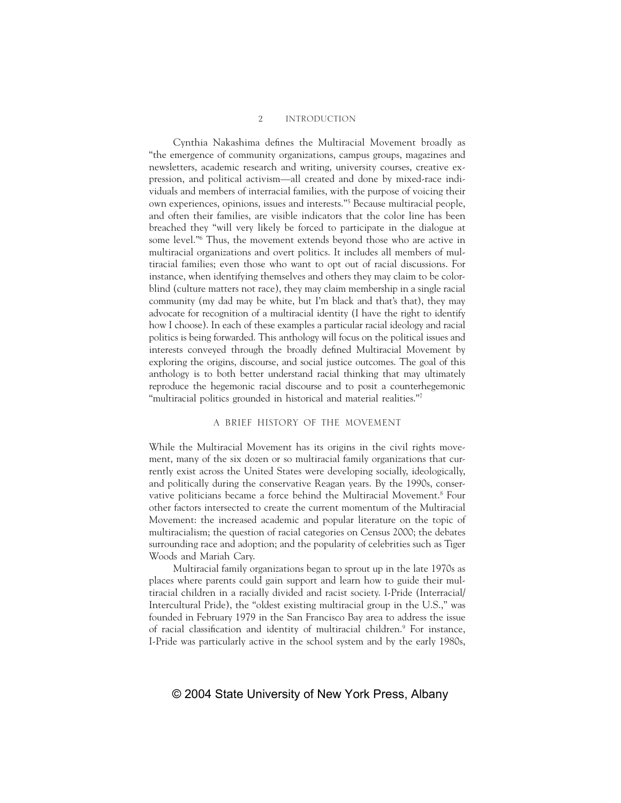#### 2 INTRODUCTION

Cynthia Nakashima defines the Multiracial Movement broadly as "the emergence of community organizations, campus groups, magazines and newsletters, academic research and writing, university courses, creative expression, and political activism—all created and done by mixed-race individuals and members of interracial families, with the purpose of voicing their own experiences, opinions, issues and interests."5 Because multiracial people, and often their families, are visible indicators that the color line has been breached they "will very likely be forced to participate in the dialogue at some level."6 Thus, the movement extends beyond those who are active in multiracial organizations and overt politics. It includes all members of multiracial families; even those who want to opt out of racial discussions. For instance, when identifying themselves and others they may claim to be colorblind (culture matters not race), they may claim membership in a single racial community (my dad may be white, but I'm black and that's that), they may advocate for recognition of a multiracial identity (I have the right to identify how I choose). In each of these examples a particular racial ideology and racial politics is being forwarded. This anthology will focus on the political issues and interests conveyed through the broadly defined Multiracial Movement by exploring the origins, discourse, and social justice outcomes. The goal of this anthology is to both better understand racial thinking that may ultimately reproduce the hegemonic racial discourse and to posit a counterhegemonic "multiracial politics grounded in historical and material realities."7

### A BRIEF HISTORY OF THE MOVEMENT

While the Multiracial Movement has its origins in the civil rights movement, many of the six dozen or so multiracial family organizations that currently exist across the United States were developing socially, ideologically, and politically during the conservative Reagan years. By the 1990s, conservative politicians became a force behind the Multiracial Movement.8 Four other factors intersected to create the current momentum of the Multiracial Movement: the increased academic and popular literature on the topic of multiracialism; the question of racial categories on Census 2000; the debates surrounding race and adoption; and the popularity of celebrities such as Tiger Woods and Mariah Cary.

Multiracial family organizations began to sprout up in the late 1970s as places where parents could gain support and learn how to guide their multiracial children in a racially divided and racist society. I-Pride (Interracial/ Intercultural Pride), the "oldest existing multiracial group in the U.S.," was founded in February 1979 in the San Francisco Bay area to address the issue of racial classification and identity of multiracial children.9 For instance, I-Pride was particularly active in the school system and by the early 1980s,

## © 2004 State University of New York Press, Albany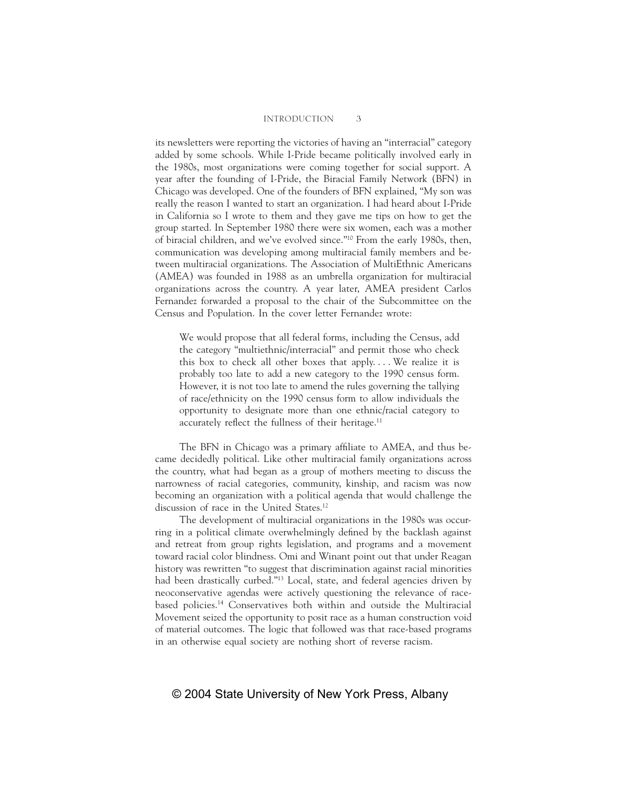its newsletters were reporting the victories of having an "interracial" category added by some schools. While I-Pride became politically involved early in the 1980s, most organizations were coming together for social support. A year after the founding of I-Pride, the Biracial Family Network (BFN) in Chicago was developed. One of the founders of BFN explained, "My son was really the reason I wanted to start an organization. I had heard about I-Pride in California so I wrote to them and they gave me tips on how to get the group started. In September 1980 there were six women, each was a mother of biracial children, and we've evolved since."10 From the early 1980s, then, communication was developing among multiracial family members and between multiracial organizations. The Association of MultiEthnic Americans (AMEA) was founded in 1988 as an umbrella organization for multiracial organizations across the country. A year later, AMEA president Carlos Fernandez forwarded a proposal to the chair of the Subcommittee on the Census and Population. In the cover letter Fernandez wrote:

We would propose that all federal forms, including the Census, add the category "multiethnic/interracial" and permit those who check this box to check all other boxes that apply. . . . We realize it is probably too late to add a new category to the 1990 census form. However, it is not too late to amend the rules governing the tallying of race/ethnicity on the 1990 census form to allow individuals the opportunity to designate more than one ethnic/racial category to accurately reflect the fullness of their heritage.<sup>11</sup>

The BFN in Chicago was a primary affiliate to AMEA, and thus became decidedly political. Like other multiracial family organizations across the country, what had began as a group of mothers meeting to discuss the narrowness of racial categories, community, kinship, and racism was now becoming an organization with a political agenda that would challenge the discussion of race in the United States.<sup>12</sup>

The development of multiracial organizations in the 1980s was occurring in a political climate overwhelmingly defined by the backlash against and retreat from group rights legislation, and programs and a movement toward racial color blindness. Omi and Winant point out that under Reagan history was rewritten "to suggest that discrimination against racial minorities had been drastically curbed."<sup>13</sup> Local, state, and federal agencies driven by neoconservative agendas were actively questioning the relevance of racebased policies.14 Conservatives both within and outside the Multiracial Movement seized the opportunity to posit race as a human construction void of material outcomes. The logic that followed was that race-based programs in an otherwise equal society are nothing short of reverse racism.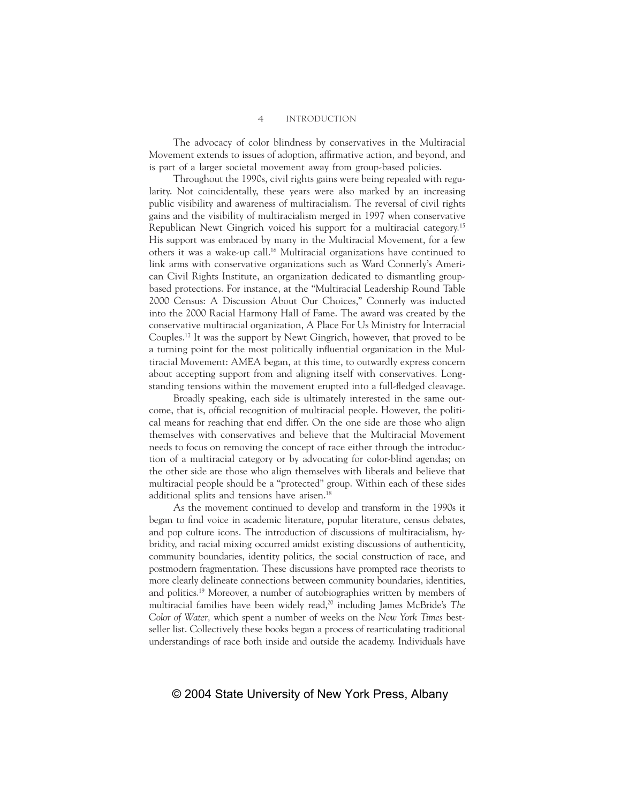The advocacy of color blindness by conservatives in the Multiracial Movement extends to issues of adoption, affirmative action, and beyond, and is part of a larger societal movement away from group-based policies.

Throughout the 1990s, civil rights gains were being repealed with regularity. Not coincidentally, these years were also marked by an increasing public visibility and awareness of multiracialism. The reversal of civil rights gains and the visibility of multiracialism merged in 1997 when conservative Republican Newt Gingrich voiced his support for a multiracial category.15 His support was embraced by many in the Multiracial Movement, for a few others it was a wake-up call.16 Multiracial organizations have continued to link arms with conservative organizations such as Ward Connerly's American Civil Rights Institute, an organization dedicated to dismantling groupbased protections. For instance, at the "Multiracial Leadership Round Table 2000 Census: A Discussion About Our Choices," Connerly was inducted into the 2000 Racial Harmony Hall of Fame. The award was created by the conservative multiracial organization, A Place For Us Ministry for Interracial Couples.17 It was the support by Newt Gingrich, however, that proved to be a turning point for the most politically influential organization in the Multiracial Movement: AMEA began, at this time, to outwardly express concern about accepting support from and aligning itself with conservatives. Longstanding tensions within the movement erupted into a full-fledged cleavage.

Broadly speaking, each side is ultimately interested in the same outcome, that is, official recognition of multiracial people. However, the political means for reaching that end differ. On the one side are those who align themselves with conservatives and believe that the Multiracial Movement needs to focus on removing the concept of race either through the introduction of a multiracial category or by advocating for color-blind agendas; on the other side are those who align themselves with liberals and believe that multiracial people should be a "protected" group. Within each of these sides additional splits and tensions have arisen.<sup>18</sup>

As the movement continued to develop and transform in the 1990s it began to find voice in academic literature, popular literature, census debates, and pop culture icons. The introduction of discussions of multiracialism, hybridity, and racial mixing occurred amidst existing discussions of authenticity, community boundaries, identity politics, the social construction of race, and postmodern fragmentation. These discussions have prompted race theorists to more clearly delineate connections between community boundaries, identities, and politics.19 Moreover, a number of autobiographies written by members of multiracial families have been widely read,20 including James McBride's *The Color of Water,* which spent a number of weeks on the *New York Times* bestseller list. Collectively these books began a process of rearticulating traditional understandings of race both inside and outside the academy. Individuals have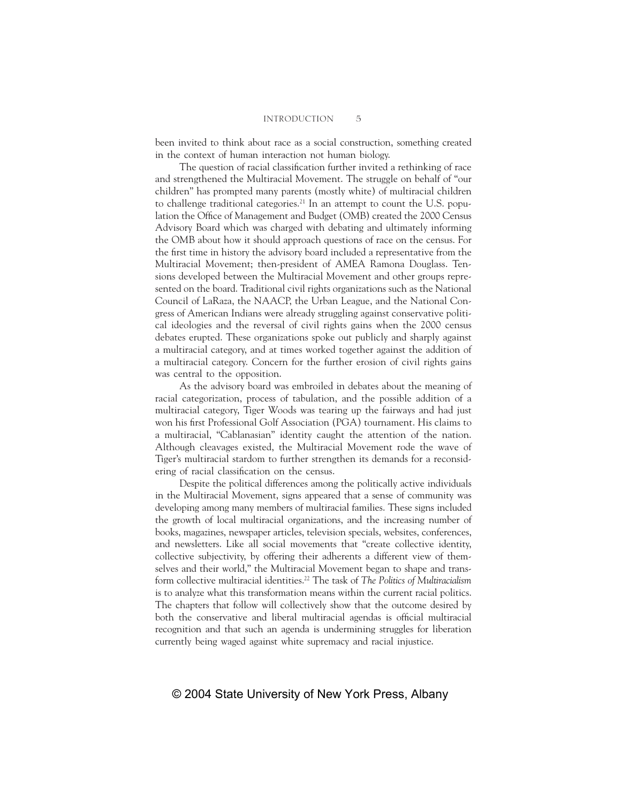been invited to think about race as a social construction, something created in the context of human interaction not human biology.

The question of racial classification further invited a rethinking of race and strengthened the Multiracial Movement. The struggle on behalf of "our children" has prompted many parents (mostly white) of multiracial children to challenge traditional categories.<sup>21</sup> In an attempt to count the U.S. population the Office of Management and Budget (OMB) created the 2000 Census Advisory Board which was charged with debating and ultimately informing the OMB about how it should approach questions of race on the census. For the first time in history the advisory board included a representative from the Multiracial Movement; then-president of AMEA Ramona Douglass. Tensions developed between the Multiracial Movement and other groups represented on the board. Traditional civil rights organizations such as the National Council of LaRaza, the NAACP, the Urban League, and the National Congress of American Indians were already struggling against conservative political ideologies and the reversal of civil rights gains when the 2000 census debates erupted. These organizations spoke out publicly and sharply against a multiracial category, and at times worked together against the addition of a multiracial category. Concern for the further erosion of civil rights gains was central to the opposition.

As the advisory board was embroiled in debates about the meaning of racial categorization, process of tabulation, and the possible addition of a multiracial category, Tiger Woods was tearing up the fairways and had just won his first Professional Golf Association (PGA) tournament. His claims to a multiracial, "Cablanasian" identity caught the attention of the nation. Although cleavages existed, the Multiracial Movement rode the wave of Tiger's multiracial stardom to further strengthen its demands for a reconsidering of racial classification on the census.

Despite the political differences among the politically active individuals in the Multiracial Movement, signs appeared that a sense of community was developing among many members of multiracial families. These signs included the growth of local multiracial organizations, and the increasing number of books, magazines, newspaper articles, television specials, websites, conferences, and newsletters. Like all social movements that "create collective identity, collective subjectivity, by offering their adherents a different view of themselves and their world," the Multiracial Movement began to shape and transform collective multiracial identities.22 The task of *The Politics of Multiracialism* is to analyze what this transformation means within the current racial politics. The chapters that follow will collectively show that the outcome desired by both the conservative and liberal multiracial agendas is official multiracial recognition and that such an agenda is undermining struggles for liberation currently being waged against white supremacy and racial injustice.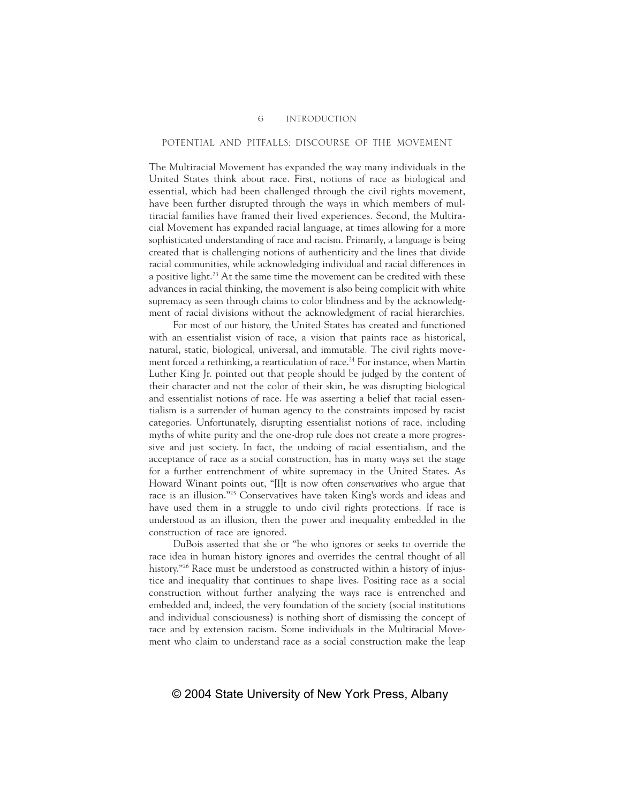### POTENTIAL AND PITFALLS: DISCOURSE OF THE MOVEMENT

The Multiracial Movement has expanded the way many individuals in the United States think about race. First, notions of race as biological and essential, which had been challenged through the civil rights movement, have been further disrupted through the ways in which members of multiracial families have framed their lived experiences. Second, the Multiracial Movement has expanded racial language, at times allowing for a more sophisticated understanding of race and racism. Primarily, a language is being created that is challenging notions of authenticity and the lines that divide racial communities, while acknowledging individual and racial differences in a positive light.<sup>23</sup> At the same time the movement can be credited with these advances in racial thinking, the movement is also being complicit with white supremacy as seen through claims to color blindness and by the acknowledgment of racial divisions without the acknowledgment of racial hierarchies.

For most of our history, the United States has created and functioned with an essentialist vision of race, a vision that paints race as historical, natural, static, biological, universal, and immutable. The civil rights movement forced a rethinking, a rearticulation of race.<sup>24</sup> For instance, when Martin Luther King Jr. pointed out that people should be judged by the content of their character and not the color of their skin, he was disrupting biological and essentialist notions of race. He was asserting a belief that racial essentialism is a surrender of human agency to the constraints imposed by racist categories. Unfortunately, disrupting essentialist notions of race, including myths of white purity and the one-drop rule does not create a more progressive and just society. In fact, the undoing of racial essentialism, and the acceptance of race as a social construction, has in many ways set the stage for a further entrenchment of white supremacy in the United States. As Howard Winant points out, "[I]t is now often *conservatives* who argue that race is an illusion."25 Conservatives have taken King's words and ideas and have used them in a struggle to undo civil rights protections. If race is understood as an illusion, then the power and inequality embedded in the construction of race are ignored.

DuBois asserted that she or "he who ignores or seeks to override the race idea in human history ignores and overrides the central thought of all history."<sup>26</sup> Race must be understood as constructed within a history of injustice and inequality that continues to shape lives. Positing race as a social construction without further analyzing the ways race is entrenched and embedded and, indeed, the very foundation of the society (social institutions and individual consciousness) is nothing short of dismissing the concept of race and by extension racism. Some individuals in the Multiracial Movement who claim to understand race as a social construction make the leap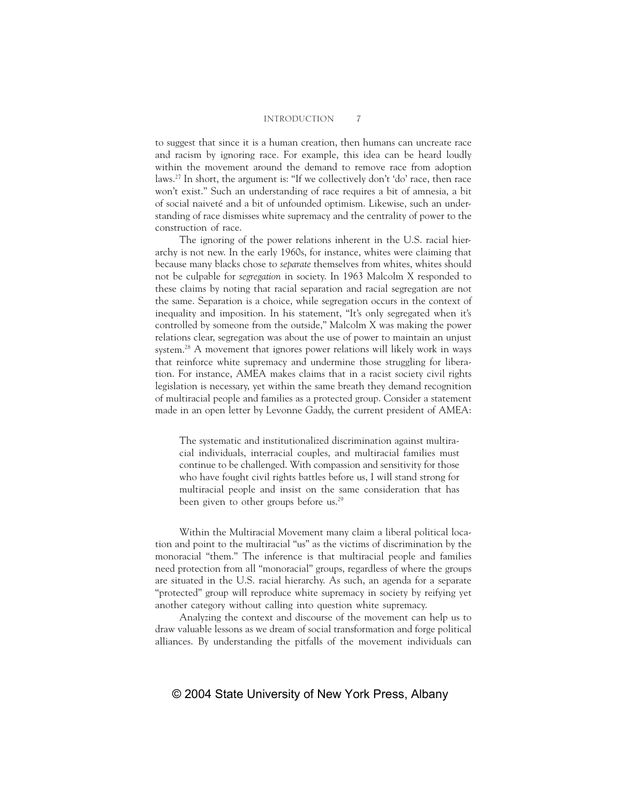to suggest that since it is a human creation, then humans can uncreate race and racism by ignoring race. For example, this idea can be heard loudly within the movement around the demand to remove race from adoption laws.27 In short, the argument is: "If we collectively don't 'do' race, then race won't exist." Such an understanding of race requires a bit of amnesia, a bit of social naiveté and a bit of unfounded optimism. Likewise, such an understanding of race dismisses white supremacy and the centrality of power to the construction of race.

The ignoring of the power relations inherent in the U.S. racial hierarchy is not new. In the early 1960s, for instance, whites were claiming that because many blacks chose to *separate* themselves from whites, whites should not be culpable for *segregation* in society. In 1963 Malcolm X responded to these claims by noting that racial separation and racial segregation are not the same. Separation is a choice, while segregation occurs in the context of inequality and imposition. In his statement, "It's only segregated when it's controlled by someone from the outside," Malcolm X was making the power relations clear, segregation was about the use of power to maintain an unjust system.<sup>28</sup> A movement that ignores power relations will likely work in ways that reinforce white supremacy and undermine those struggling for liberation. For instance, AMEA makes claims that in a racist society civil rights legislation is necessary, yet within the same breath they demand recognition of multiracial people and families as a protected group. Consider a statement made in an open letter by Levonne Gaddy, the current president of AMEA:

The systematic and institutionalized discrimination against multiracial individuals, interracial couples, and multiracial families must continue to be challenged. With compassion and sensitivity for those who have fought civil rights battles before us, I will stand strong for multiracial people and insist on the same consideration that has been given to other groups before us.<sup>29</sup>

Within the Multiracial Movement many claim a liberal political location and point to the multiracial "us" as the victims of discrimination by the monoracial "them." The inference is that multiracial people and families need protection from all "monoracial" groups, regardless of where the groups are situated in the U.S. racial hierarchy. As such, an agenda for a separate "protected" group will reproduce white supremacy in society by reifying yet another category without calling into question white supremacy.

Analyzing the context and discourse of the movement can help us to draw valuable lessons as we dream of social transformation and forge political alliances. By understanding the pitfalls of the movement individuals can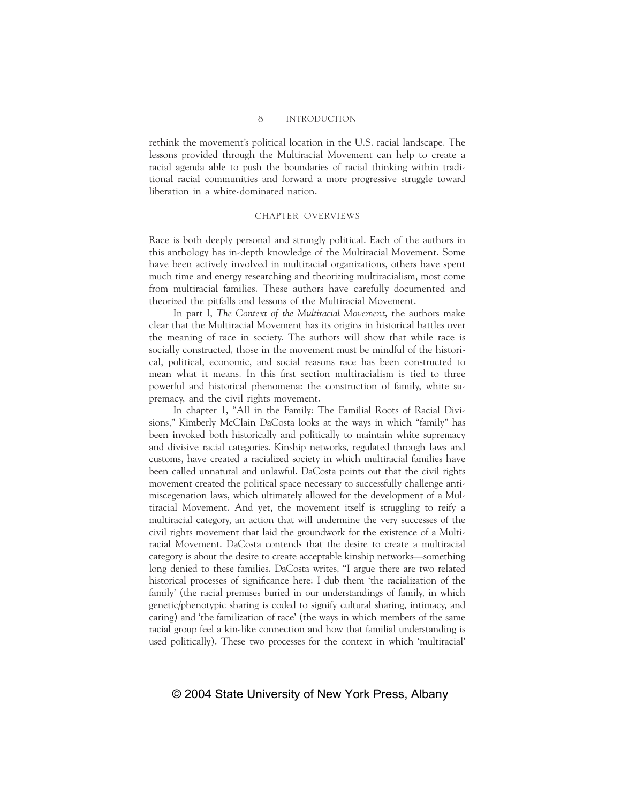rethink the movement's political location in the U.S. racial landscape. The lessons provided through the Multiracial Movement can help to create a racial agenda able to push the boundaries of racial thinking within traditional racial communities and forward a more progressive struggle toward liberation in a white-dominated nation.

### CHAPTER OVERVIEWS

Race is both deeply personal and strongly political. Each of the authors in this anthology has in-depth knowledge of the Multiracial Movement. Some have been actively involved in multiracial organizations, others have spent much time and energy researching and theorizing multiracialism, most come from multiracial families. These authors have carefully documented and theorized the pitfalls and lessons of the Multiracial Movement.

In part I, *The Context of the Multiracial Movement*, the authors make clear that the Multiracial Movement has its origins in historical battles over the meaning of race in society. The authors will show that while race is socially constructed, those in the movement must be mindful of the historical, political, economic, and social reasons race has been constructed to mean what it means. In this first section multiracialism is tied to three powerful and historical phenomena: the construction of family, white supremacy, and the civil rights movement.

In chapter 1, "All in the Family: The Familial Roots of Racial Divisions," Kimberly McClain DaCosta looks at the ways in which "family" has been invoked both historically and politically to maintain white supremacy and divisive racial categories. Kinship networks, regulated through laws and customs, have created a racialized society in which multiracial families have been called unnatural and unlawful. DaCosta points out that the civil rights movement created the political space necessary to successfully challenge antimiscegenation laws, which ultimately allowed for the development of a Multiracial Movement. And yet, the movement itself is struggling to reify a multiracial category, an action that will undermine the very successes of the civil rights movement that laid the groundwork for the existence of a Multiracial Movement. DaCosta contends that the desire to create a multiracial category is about the desire to create acceptable kinship networks—something long denied to these families. DaCosta writes, "I argue there are two related historical processes of significance here: I dub them 'the racialization of the family' (the racial premises buried in our understandings of family, in which genetic/phenotypic sharing is coded to signify cultural sharing, intimacy, and caring) and 'the familization of race' (the ways in which members of the same racial group feel a kin-like connection and how that familial understanding is used politically). These two processes for the context in which 'multiracial'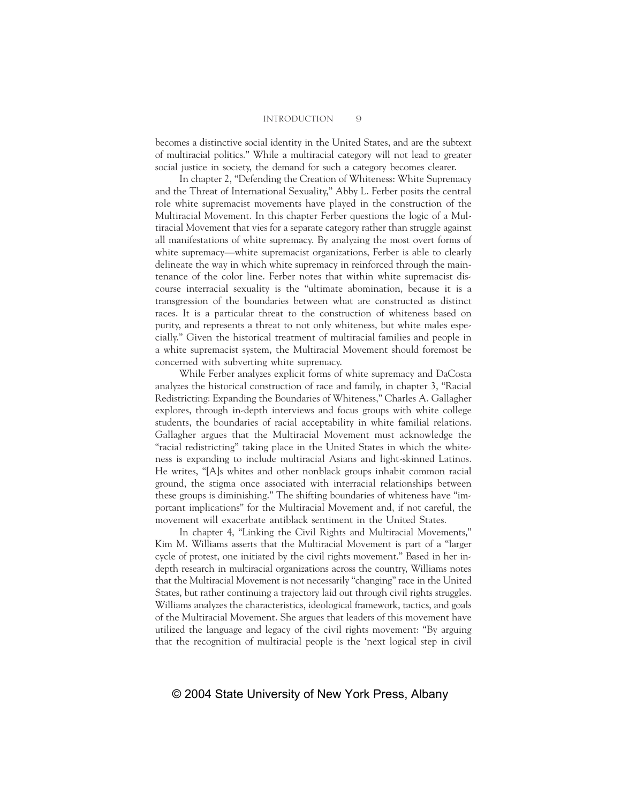becomes a distinctive social identity in the United States, and are the subtext of multiracial politics." While a multiracial category will not lead to greater social justice in society, the demand for such a category becomes clearer.

In chapter 2, "Defending the Creation of Whiteness: White Supremacy and the Threat of International Sexuality," Abby L. Ferber posits the central role white supremacist movements have played in the construction of the Multiracial Movement. In this chapter Ferber questions the logic of a Multiracial Movement that vies for a separate category rather than struggle against all manifestations of white supremacy. By analyzing the most overt forms of white supremacy—white supremacist organizations, Ferber is able to clearly delineate the way in which white supremacy in reinforced through the maintenance of the color line. Ferber notes that within white supremacist discourse interracial sexuality is the "ultimate abomination, because it is a transgression of the boundaries between what are constructed as distinct races. It is a particular threat to the construction of whiteness based on purity, and represents a threat to not only whiteness, but white males especially." Given the historical treatment of multiracial families and people in a white supremacist system, the Multiracial Movement should foremost be concerned with subverting white supremacy.

While Ferber analyzes explicit forms of white supremacy and DaCosta analyzes the historical construction of race and family, in chapter 3, "Racial Redistricting: Expanding the Boundaries of Whiteness," Charles A. Gallagher explores, through in-depth interviews and focus groups with white college students, the boundaries of racial acceptability in white familial relations. Gallagher argues that the Multiracial Movement must acknowledge the "racial redistricting" taking place in the United States in which the whiteness is expanding to include multiracial Asians and light-skinned Latinos. He writes, "[A]s whites and other nonblack groups inhabit common racial ground, the stigma once associated with interracial relationships between these groups is diminishing." The shifting boundaries of whiteness have "important implications" for the Multiracial Movement and, if not careful, the movement will exacerbate antiblack sentiment in the United States.

In chapter 4, "Linking the Civil Rights and Multiracial Movements," Kim M. Williams asserts that the Multiracial Movement is part of a "larger cycle of protest, one initiated by the civil rights movement." Based in her indepth research in multiracial organizations across the country, Williams notes that the Multiracial Movement is not necessarily "changing" race in the United States, but rather continuing a trajectory laid out through civil rights struggles. Williams analyzes the characteristics, ideological framework, tactics, and goals of the Multiracial Movement. She argues that leaders of this movement have utilized the language and legacy of the civil rights movement: "By arguing that the recognition of multiracial people is the 'next logical step in civil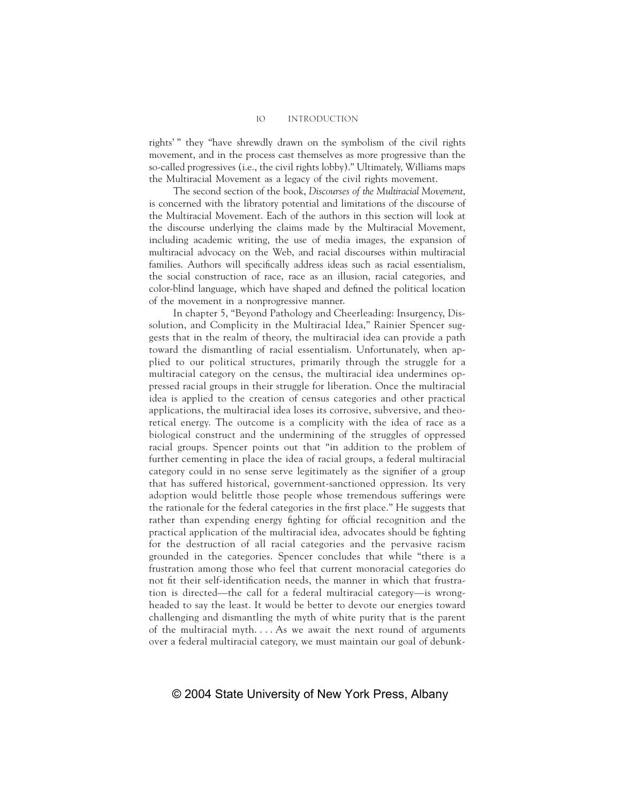rights' " they "have shrewdly drawn on the symbolism of the civil rights movement, and in the process cast themselves as more progressive than the so-called progressives (i.e., the civil rights lobby)." Ultimately, Williams maps the Multiracial Movement as a legacy of the civil rights movement.

The second section of the book, *Discourses of the Multiracial Movement*, is concerned with the libratory potential and limitations of the discourse of the Multiracial Movement. Each of the authors in this section will look at the discourse underlying the claims made by the Multiracial Movement, including academic writing, the use of media images, the expansion of multiracial advocacy on the Web, and racial discourses within multiracial families. Authors will specifically address ideas such as racial essentialism, the social construction of race, race as an illusion, racial categories, and color-blind language, which have shaped and defined the political location of the movement in a nonprogressive manner.

In chapter 5, "Beyond Pathology and Cheerleading: Insurgency, Dissolution, and Complicity in the Multiracial Idea," Rainier Spencer suggests that in the realm of theory, the multiracial idea can provide a path toward the dismantling of racial essentialism. Unfortunately, when applied to our political structures, primarily through the struggle for a multiracial category on the census, the multiracial idea undermines oppressed racial groups in their struggle for liberation. Once the multiracial idea is applied to the creation of census categories and other practical applications, the multiracial idea loses its corrosive, subversive, and theoretical energy. The outcome is a complicity with the idea of race as a biological construct and the undermining of the struggles of oppressed racial groups. Spencer points out that "in addition to the problem of further cementing in place the idea of racial groups, a federal multiracial category could in no sense serve legitimately as the signifier of a group that has suffered historical, government-sanctioned oppression. Its very adoption would belittle those people whose tremendous sufferings were the rationale for the federal categories in the first place." He suggests that rather than expending energy fighting for official recognition and the practical application of the multiracial idea, advocates should be fighting for the destruction of all racial categories and the pervasive racism grounded in the categories. Spencer concludes that while "there is a frustration among those who feel that current monoracial categories do not fit their self-identification needs, the manner in which that frustration is directed—the call for a federal multiracial category—is wrongheaded to say the least. It would be better to devote our energies toward challenging and dismantling the myth of white purity that is the parent of the multiracial myth.... As we await the next round of arguments over a federal multiracial category, we must maintain our goal of debunk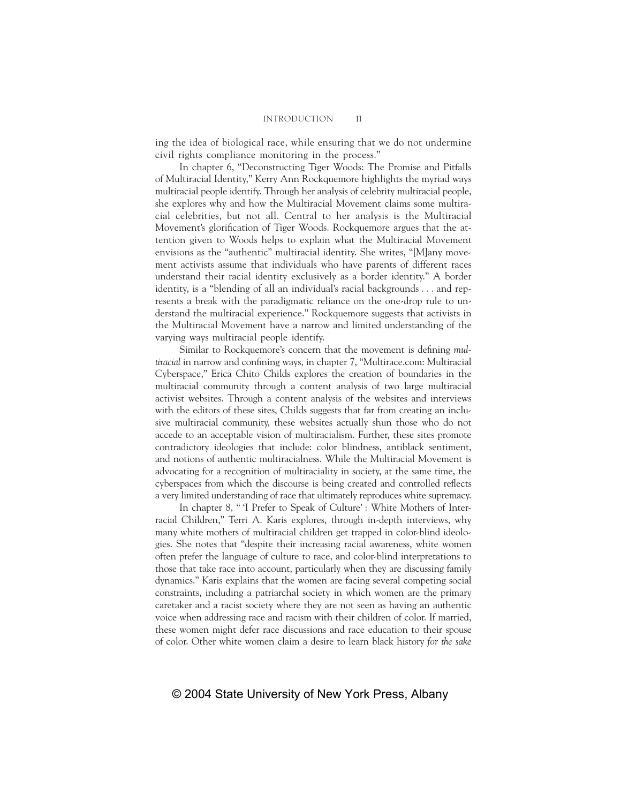ing the idea of biological race, while ensuring that we do not undermine civil rights compliance monitoring in the process."

In chapter 6, "Deconstructing Tiger Woods: The Promise and Pitfalls of Multiracial Identity," Kerry Ann Rockquemore highlights the myriad ways multiracial people identify. Through her analysis of celebrity multiracial people, she explores why and how the Multiracial Movement claims some multiracial celebrities, but not all. Central to her analysis is the Multiracial Movement's glorification of Tiger Woods. Rockquemore argues that the attention given to Woods helps to explain what the Multiracial Movement envisions as the "authentic" multiracial identity. She writes, "[M]any movement activists assume that individuals who have parents of different races understand their racial identity exclusively as a border identity." A border identity, is a "blending of all an individual's racial backgrounds . . . and represents a break with the paradigmatic reliance on the one-drop rule to understand the multiracial experience." Rockquemore suggests that activists in the Multiracial Movement have a narrow and limited understanding of the varying ways multiracial people identify.

Similar to Rockquemore's concern that the movement is defining *multiracial* in narrow and confining ways, in chapter 7, "Multirace.com: Multiracial Cyberspace," Erica Chito Childs explores the creation of boundaries in the multiracial community through a content analysis of two large multiracial activist websites. Through a content analysis of the websites and interviews with the editors of these sites, Childs suggests that far from creating an inclusive multiracial community, these websites actually shun those who do not accede to an acceptable vision of multiracialism. Further, these sites promote contradictory ideologies that include: color blindness, antiblack sentiment, and notions of authentic multiracialness. While the Multiracial Movement is advocating for a recognition of multiraciality in society, at the same time, the cyberspaces from which the discourse is being created and controlled reflects a very limited understanding of race that ultimately reproduces white supremacy.

In chapter 8, " 'I Prefer to Speak of Culture' : White Mothers of Interracial Children," Terri A. Karis explores, through in-depth interviews, why many white mothers of multiracial children get trapped in color-blind ideologies. She notes that "despite their increasing racial awareness, white women often prefer the language of culture to race, and color-blind interpretations to those that take race into account, particularly when they are discussing family dynamics." Karis explains that the women are facing several competing social constraints, including a patriarchal society in which women are the primary caretaker and a racist society where they are not seen as having an authentic voice when addressing race and racism with their children of color. If married, these women might defer race discussions and race education to their spouse of color. Other white women claim a desire to learn black history *for the sake*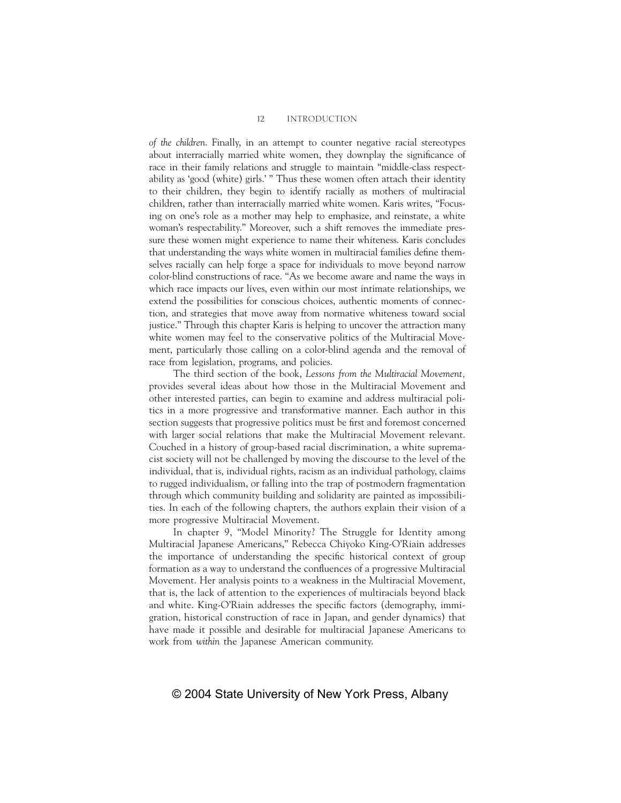#### 12 INTRODUCTION

*of the children*. Finally, in an attempt to counter negative racial stereotypes about interracially married white women, they downplay the significance of race in their family relations and struggle to maintain "middle-class respectability as 'good (white) girls.' " Thus these women often attach their identity to their children, they begin to identify racially as mothers of multiracial children, rather than interracially married white women. Karis writes, "Focusing on one's role as a mother may help to emphasize, and reinstate, a white woman's respectability." Moreover, such a shift removes the immediate pressure these women might experience to name their whiteness. Karis concludes that understanding the ways white women in multiracial families define themselves racially can help forge a space for individuals to move beyond narrow color-blind constructions of race. "As we become aware and name the ways in which race impacts our lives, even within our most intimate relationships, we extend the possibilities for conscious choices, authentic moments of connection, and strategies that move away from normative whiteness toward social justice." Through this chapter Karis is helping to uncover the attraction many white women may feel to the conservative politics of the Multiracial Movement, particularly those calling on a color-blind agenda and the removal of race from legislation, programs, and policies.

The third section of the book, *Lessons from the Multiracial Movement,* provides several ideas about how those in the Multiracial Movement and other interested parties, can begin to examine and address multiracial politics in a more progressive and transformative manner. Each author in this section suggests that progressive politics must be first and foremost concerned with larger social relations that make the Multiracial Movement relevant. Couched in a history of group-based racial discrimination, a white supremacist society will not be challenged by moving the discourse to the level of the individual, that is, individual rights, racism as an individual pathology, claims to rugged individualism, or falling into the trap of postmodern fragmentation through which community building and solidarity are painted as impossibilities. In each of the following chapters, the authors explain their vision of a more progressive Multiracial Movement.

In chapter 9, "Model Minority? The Struggle for Identity among Multiracial Japanese Americans," Rebecca Chiyoko King-O'Riain addresses the importance of understanding the specific historical context of group formation as a way to understand the confluences of a progressive Multiracial Movement. Her analysis points to a weakness in the Multiracial Movement, that is, the lack of attention to the experiences of multiracials beyond black and white. King-O'Riain addresses the specific factors (demography, immigration, historical construction of race in Japan, and gender dynamics) that have made it possible and desirable for multiracial Japanese Americans to work from *within* the Japanese American community.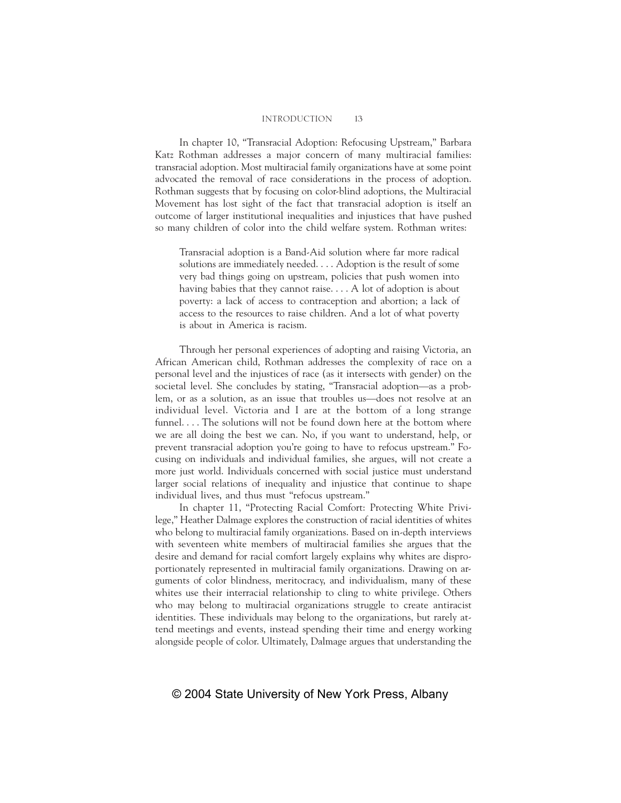In chapter 10, "Transracial Adoption: Refocusing Upstream," Barbara Katz Rothman addresses a major concern of many multiracial families: transracial adoption. Most multiracial family organizations have at some point advocated the removal of race considerations in the process of adoption. Rothman suggests that by focusing on color-blind adoptions, the Multiracial Movement has lost sight of the fact that transracial adoption is itself an outcome of larger institutional inequalities and injustices that have pushed so many children of color into the child welfare system. Rothman writes:

Transracial adoption is a Band-Aid solution where far more radical solutions are immediately needed. . . . Adoption is the result of some very bad things going on upstream, policies that push women into having babies that they cannot raise. . . . A lot of adoption is about poverty: a lack of access to contraception and abortion; a lack of access to the resources to raise children. And a lot of what poverty is about in America is racism.

Through her personal experiences of adopting and raising Victoria, an African American child, Rothman addresses the complexity of race on a personal level and the injustices of race (as it intersects with gender) on the societal level. She concludes by stating, "Transracial adoption—as a problem, or as a solution, as an issue that troubles us—does not resolve at an individual level. Victoria and I are at the bottom of a long strange funnel. . . . The solutions will not be found down here at the bottom where we are all doing the best we can. No, if you want to understand, help, or prevent transracial adoption you're going to have to refocus upstream." Focusing on individuals and individual families, she argues, will not create a more just world. Individuals concerned with social justice must understand larger social relations of inequality and injustice that continue to shape individual lives, and thus must "refocus upstream."

In chapter 11, "Protecting Racial Comfort: Protecting White Privilege," Heather Dalmage explores the construction of racial identities of whites who belong to multiracial family organizations. Based on in-depth interviews with seventeen white members of multiracial families she argues that the desire and demand for racial comfort largely explains why whites are disproportionately represented in multiracial family organizations. Drawing on arguments of color blindness, meritocracy, and individualism, many of these whites use their interracial relationship to cling to white privilege. Others who may belong to multiracial organizations struggle to create antiracist identities. These individuals may belong to the organizations, but rarely attend meetings and events, instead spending their time and energy working alongside people of color. Ultimately, Dalmage argues that understanding the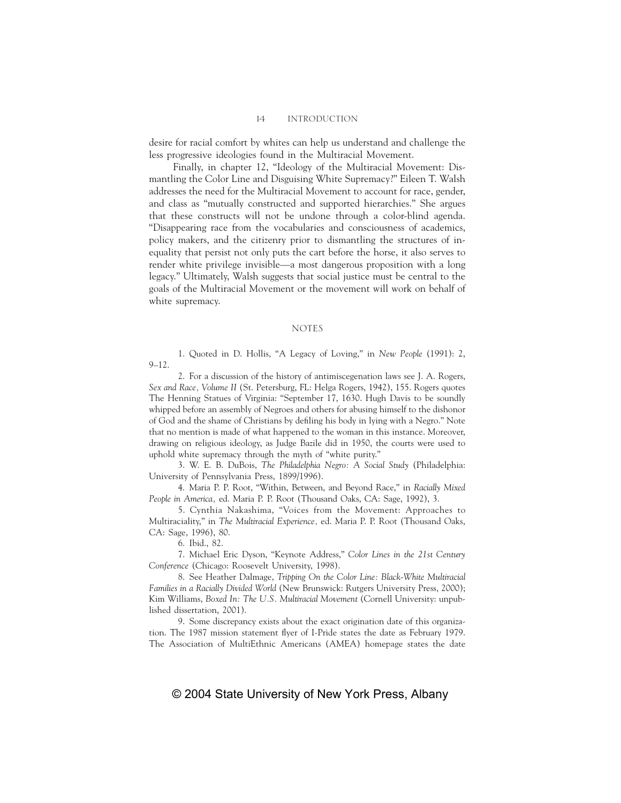desire for racial comfort by whites can help us understand and challenge the less progressive ideologies found in the Multiracial Movement.

Finally, in chapter 12, "Ideology of the Multiracial Movement: Dismantling the Color Line and Disguising White Supremacy?" Eileen T. Walsh addresses the need for the Multiracial Movement to account for race, gender, and class as "mutually constructed and supported hierarchies." She argues that these constructs will not be undone through a color-blind agenda. "Disappearing race from the vocabularies and consciousness of academics, policy makers, and the citizenry prior to dismantling the structures of inequality that persist not only puts the cart before the horse, it also serves to render white privilege invisible—a most dangerous proposition with a long legacy." Ultimately, Walsh suggests that social justice must be central to the goals of the Multiracial Movement or the movement will work on behalf of white supremacy.

### NOTES

1. Quoted in D. Hollis, "A Legacy of Loving," in *New People* (1991): 2,  $9 - 12$ .

2. For a discussion of the history of antimiscegenation laws see J. A. Rogers, *Sex and Race, Volume II* (St. Petersburg, FL: Helga Rogers, 1942), 155. Rogers quotes The Henning Statues of Virginia: "September 17, 1630. Hugh Davis to be soundly whipped before an assembly of Negroes and others for abusing himself to the dishonor of God and the shame of Christians by defiling his body in lying with a Negro." Note that no mention is made of what happened to the woman in this instance. Moreover, drawing on religious ideology, as Judge Bazile did in 1950, the courts were used to uphold white supremacy through the myth of "white purity."

3. W. E. B. DuBois, *The Philadelphia Negro: A Social Study* (Philadelphia: University of Pennsylvania Press, 1899/1996).

4. Maria P. P. Root, "Within, Between, and Beyond Race," in *Racially Mixed People in America,* ed. Maria P. P. Root (Thousand Oaks, CA: Sage, 1992), 3.

5. Cynthia Nakashima, "Voices from the Movement: Approaches to Multiraciality," in *The Multiracial Experience,* ed. Maria P. P. Root (Thousand Oaks, CA: Sage, 1996), 80.

6. Ibid., 82.

7. Michael Eric Dyson, "Keynote Address," *Color Lines in the 21st Century Conference* (Chicago: Roosevelt University, 1998).

8. See Heather Dalmage, *Tripping On the Color Line: Black-White Multiracial Families in a Racially Divided World* (New Brunswick: Rutgers University Press, 2000); Kim Williams, *Boxed In: The U.S. Multiracial Movement* (Cornell University: unpublished dissertation, 2001).

9. Some discrepancy exists about the exact origination date of this organization. The 1987 mission statement flyer of I-Pride states the date as February 1979. The Association of MultiEthnic Americans (AMEA) homepage states the date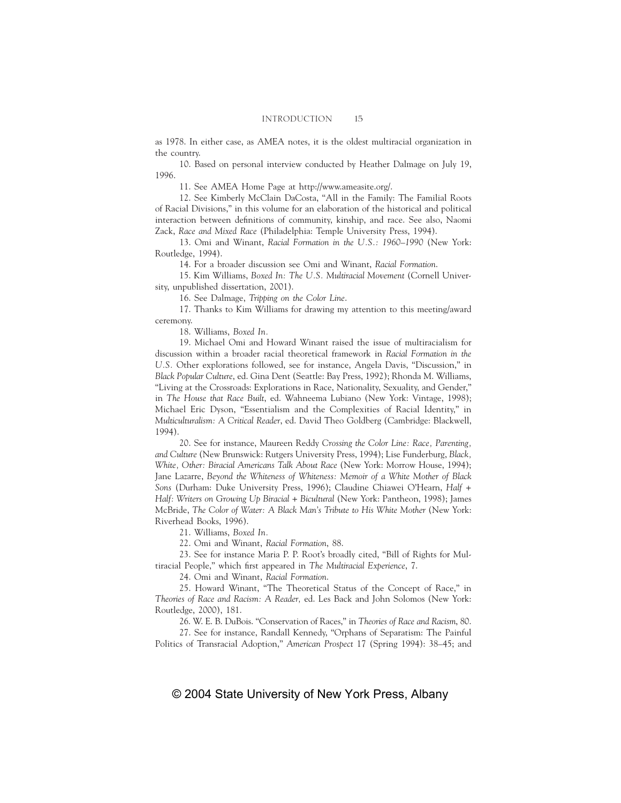as 1978. In either case, as AMEA notes, it is the oldest multiracial organization in the country.

10. Based on personal interview conducted by Heather Dalmage on July 19, 1996.

11. See AMEA Home Page at http://www.ameasite.org/.

12. See Kimberly McClain DaCosta, "All in the Family: The Familial Roots of Racial Divisions," in this volume for an elaboration of the historical and political interaction between definitions of community, kinship, and race. See also, Naomi Zack, *Race and Mixed Race* (Philadelphia: Temple University Press, 1994).

13. Omi and Winant, *Racial Formation in the U.S.: 1960–1990* (New York: Routledge, 1994).

14. For a broader discussion see Omi and Winant, *Racial Formation*.

15. Kim Williams, *Boxed In: The U.S. Multiracial Movement* (Cornell University, unpublished dissertation, 2001).

16. See Dalmage, *Tripping on the Color Line*.

17. Thanks to Kim Williams for drawing my attention to this meeting/award ceremony.

18. Williams, *Boxed In.*

19. Michael Omi and Howard Winant raised the issue of multiracialism for discussion within a broader racial theoretical framework in *Racial Formation in the U.S.* Other explorations followed, see for instance, Angela Davis, "Discussion," in *Black Popular Culture*, ed. Gina Dent (Seattle: Bay Press, 1992); Rhonda M. Williams, "Living at the Crossroads: Explorations in Race, Nationality, Sexuality, and Gender," in *The House that Race Built*, ed. Wahneema Lubiano (New York: Vintage, 1998); Michael Eric Dyson, "Essentialism and the Complexities of Racial Identity," in *Multiculturalism: A Critical Reader*, ed. David Theo Goldberg (Cambridge: Blackwell, 1994).

20. See for instance, Maureen Reddy *Crossing the Color Line: Race, Parenting, and Culture* (New Brunswick: Rutgers University Press, 1994); Lise Funderburg, *Black, White, Other: Biracial Americans Talk About Race* (New York: Morrow House, 1994); Jane Lazarre, *Beyond the Whiteness of Whiteness: Memoir of a White Mother of Black Sons* (Durham: Duke University Press, 1996); Claudine Chiawei O'Hearn, *Half + Half: Writers on Growing Up Biracial + Bicultural* (New York: Pantheon, 1998); James McBride, *The Color of Water: A Black Man's Tribute to His White Mother* (New York: Riverhead Books, 1996).

21. Williams, *Boxed In.*

22. Omi and Winant, *Racial Formation*, 88.

23. See for instance Maria P. P. Root's broadly cited, "Bill of Rights for Multiracial People," which first appeared in *The Multiracial Experience*, 7.

24. Omi and Winant, *Racial Formation*.

25. Howard Winant, "The Theoretical Status of the Concept of Race," in *Theories of Race and Racism: A Reader,* ed. Les Back and John Solomos (New York: Routledge, 2000), 181.

26. W. E. B. DuBois. "Conservation of Races," in *Theories of Race and Racism*, 80.

27. See for instance, Randall Kennedy, "Orphans of Separatism: The Painful Politics of Transracial Adoption," *American Prospect* 17 (Spring 1994): 38–45; and